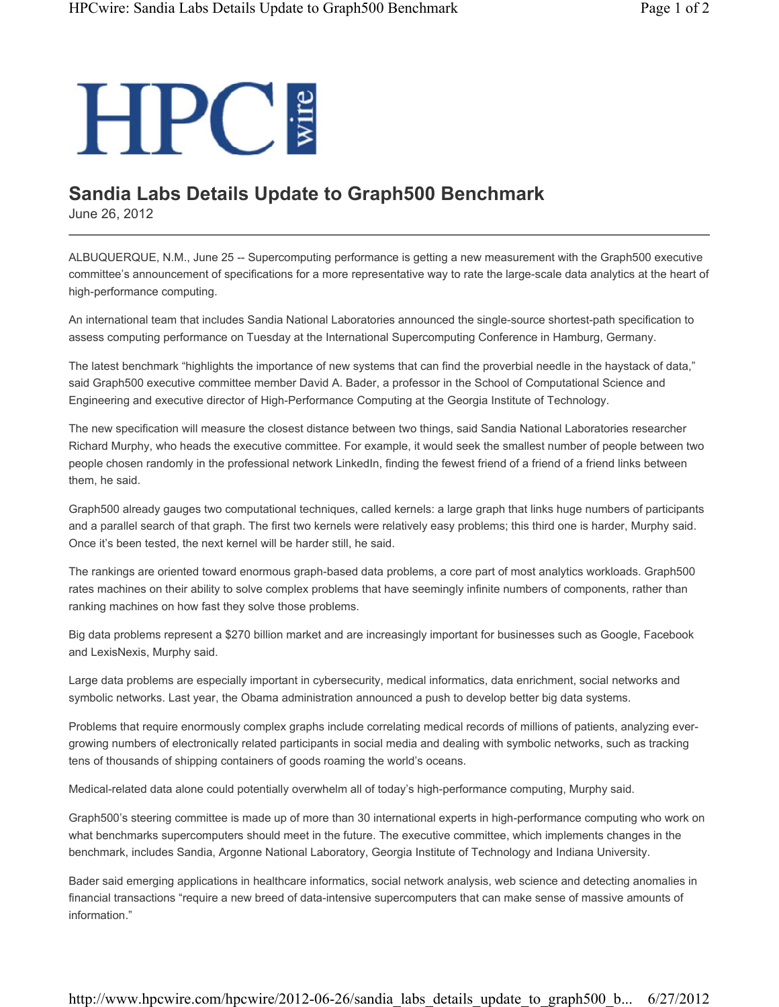## **HPC**

## **Sandia Labs Details Update to Graph500 Benchmark**

June 26, 2012

ALBUQUERQUE, N.M., June 25 -- Supercomputing performance is getting a new measurement with the Graph500 executive committee's announcement of specifications for a more representative way to rate the large-scale data analytics at the heart of high-performance computing.

An international team that includes Sandia National Laboratories announced the single-source shortest-path specification to assess computing performance on Tuesday at the International Supercomputing Conference in Hamburg, Germany.

The latest benchmark "highlights the importance of new systems that can find the proverbial needle in the haystack of data," said Graph500 executive committee member David A. Bader, a professor in the School of Computational Science and Engineering and executive director of High-Performance Computing at the Georgia Institute of Technology.

The new specification will measure the closest distance between two things, said Sandia National Laboratories researcher Richard Murphy, who heads the executive committee. For example, it would seek the smallest number of people between two people chosen randomly in the professional network LinkedIn, finding the fewest friend of a friend of a friend links between them, he said.

Graph500 already gauges two computational techniques, called kernels: a large graph that links huge numbers of participants and a parallel search of that graph. The first two kernels were relatively easy problems; this third one is harder, Murphy said. Once it's been tested, the next kernel will be harder still, he said.

The rankings are oriented toward enormous graph-based data problems, a core part of most analytics workloads. Graph500 rates machines on their ability to solve complex problems that have seemingly infinite numbers of components, rather than ranking machines on how fast they solve those problems.

Big data problems represent a \$270 billion market and are increasingly important for businesses such as Google, Facebook and LexisNexis, Murphy said.

Large data problems are especially important in cybersecurity, medical informatics, data enrichment, social networks and symbolic networks. Last year, the Obama administration announced a push to develop better big data systems.

Problems that require enormously complex graphs include correlating medical records of millions of patients, analyzing evergrowing numbers of electronically related participants in social media and dealing with symbolic networks, such as tracking tens of thousands of shipping containers of goods roaming the world's oceans.

Medical-related data alone could potentially overwhelm all of today's high-performance computing, Murphy said.

Graph500's steering committee is made up of more than 30 international experts in high-performance computing who work on what benchmarks supercomputers should meet in the future. The executive committee, which implements changes in the benchmark, includes Sandia, Argonne National Laboratory, Georgia Institute of Technology and Indiana University.

Bader said emerging applications in healthcare informatics, social network analysis, web science and detecting anomalies in financial transactions "require a new breed of data-intensive supercomputers that can make sense of massive amounts of information."